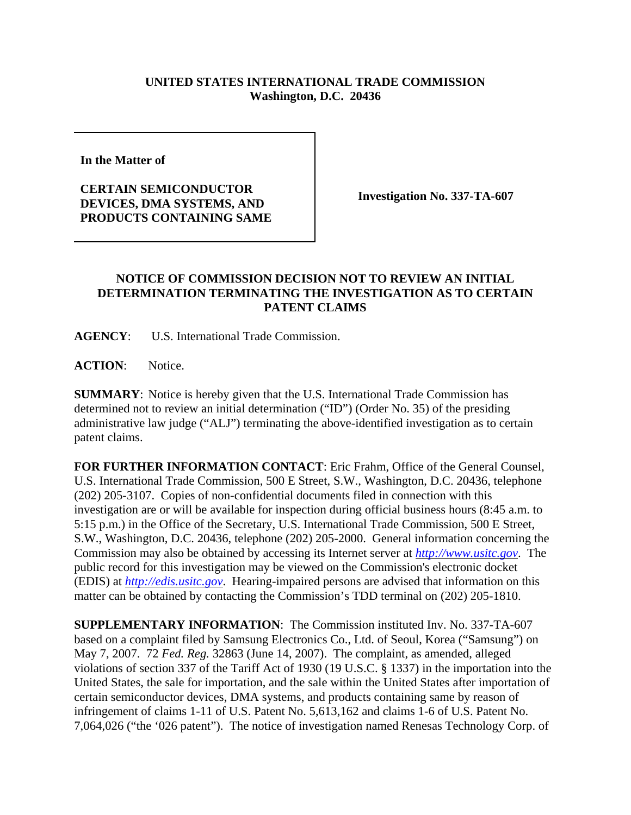## **UNITED STATES INTERNATIONAL TRADE COMMISSION Washington, D.C. 20436**

**In the Matter of** 

**CERTAIN SEMICONDUCTOR DEVICES, DMA SYSTEMS, AND PRODUCTS CONTAINING SAME** 

**Investigation No. 337-TA-607**

## **NOTICE OF COMMISSION DECISION NOT TO REVIEW AN INITIAL DETERMINATION TERMINATING THE INVESTIGATION AS TO CERTAIN PATENT CLAIMS**

**AGENCY**: U.S. International Trade Commission.

**ACTION**: Notice.

**SUMMARY**: Notice is hereby given that the U.S. International Trade Commission has determined not to review an initial determination ("ID") (Order No. 35) of the presiding administrative law judge ("ALJ") terminating the above-identified investigation as to certain patent claims.

**FOR FURTHER INFORMATION CONTACT**: Eric Frahm, Office of the General Counsel, U.S. International Trade Commission, 500 E Street, S.W., Washington, D.C. 20436, telephone (202) 205-3107. Copies of non-confidential documents filed in connection with this investigation are or will be available for inspection during official business hours (8:45 a.m. to 5:15 p.m.) in the Office of the Secretary, U.S. International Trade Commission, 500 E Street, S.W., Washington, D.C. 20436, telephone (202) 205-2000. General information concerning the Commission may also be obtained by accessing its Internet server at *http://www.usitc.gov*. The public record for this investigation may be viewed on the Commission's electronic docket (EDIS) at *http://edis.usitc.gov*. Hearing-impaired persons are advised that information on this matter can be obtained by contacting the Commission's TDD terminal on (202) 205-1810.

**SUPPLEMENTARY INFORMATION**: The Commission instituted Inv. No. 337-TA-607 based on a complaint filed by Samsung Electronics Co., Ltd. of Seoul, Korea ("Samsung") on May 7, 2007. 72 *Fed. Reg.* 32863 (June 14, 2007). The complaint, as amended, alleged violations of section 337 of the Tariff Act of 1930 (19 U.S.C. § 1337) in the importation into the United States, the sale for importation, and the sale within the United States after importation of certain semiconductor devices, DMA systems, and products containing same by reason of infringement of claims 1-11 of U.S. Patent No. 5,613,162 and claims 1-6 of U.S. Patent No. 7,064,026 ("the '026 patent"). The notice of investigation named Renesas Technology Corp. of